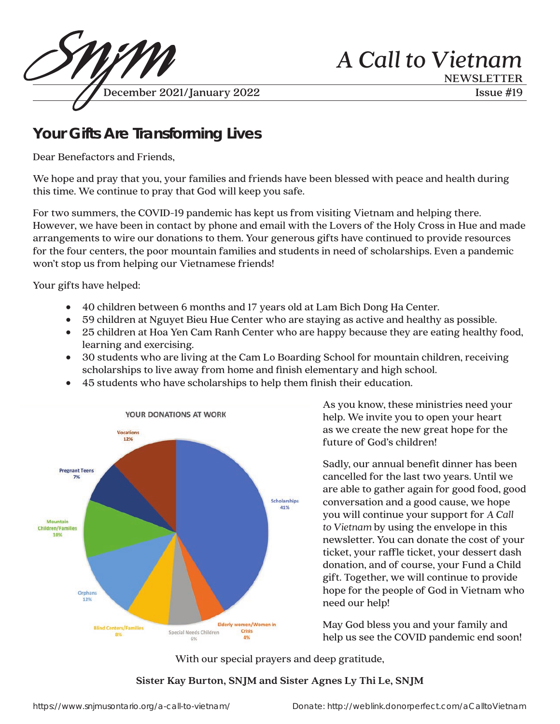

# **Your Gifts Are Transforming Lives**

Dear Benefactors and Friends,

We hope and pray that you, your families and friends have been blessed with peace and health during this time. We continue to pray that God will keep you safe.

For two summers, the COVID-19 pandemic has kept us from visiting Vietnam and helping there. However, we have been in contact by phone and email with the Lovers of the Holy Cross in Hue and made arrangements to wire our donations to them. Your generous gifts have continued to provide resources for the four centers, the poor mountain families and students in need of scholarships. Even a pandemic won't stop us from helping our Vietnamese friends!

Your gifts have helped:

- 40 children between 6 months and 17 years old at Lam Bich Dong Ha Center.
- 59 children at Nguyet Bieu Hue Center who are staying as active and healthy as possible.
- 25 children at Hoa Yen Cam Ranh Center who are happy because they are eating healthy food, learning and exercising.
- 30 students who are living at the Cam Lo Boarding School for mountain children, receiving scholarships to live away from home and finish elementary and high school.
- 45 students who have scholarships to help them finish their education.



As you know, these ministries need your help. We invite you to open your heart as we create the new great hope for the future of God's children!

Sadly, our annual benefit dinner has been cancelled for the last two years. Until we are able to gather again for good food, good conversation and a good cause, we hope you will continue your support for *A Call to Vietnam* by using the envelope in this newsletter. You can donate the cost of your ticket, your raffle ticket, your dessert dash donation, and of course, your Fund a Child gift. Together, we will continue to provide hope for the people of God in Vietnam who need our help!

May God bless you and your family and help us see the COVID pandemic end soon!

With our special prayers and deep gratitude,

#### Sister Kay Burton, SNJM and Sister Agnes Ly Thi Le, SNJM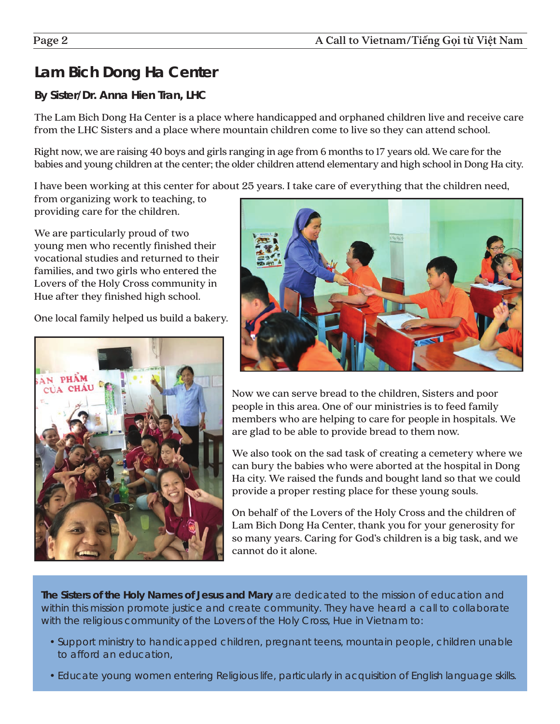## **Lam Bich Dong Ha Center**

#### **By Sister/Dr. Anna Hien Tran, LHC**

The Lam Bich Dong Ha Center is a place where handicapped and orphaned children live and receive care from the LHC Sisters and a place where mountain children come to live so they can attend school.

Right now, we are raising 40 boys and girls ranging in age from 6 months to 17 years old. We care for the babies and young children at the center; the older children attend elementary and high school in Dong Ha city.

I have been working at this center for about 25 years. I take care of everything that the children need,

from organizing work to teaching, to providing care for the children.

We are particularly proud of two young men who recently finished their vocational studies and returned to their families, and two girls who entered the Lovers of the Holy Cross community in Hue after they finished high school.

One local family helped us build a bakery.





Now we can serve bread to the children, Sisters and poor people in this area. One of our ministries is to feed family members who are helping to care for people in hospitals. We are glad to be able to provide bread to them now.

We also took on the sad task of creating a cemetery where we can bury the babies who were aborted at the hospital in Dong Ha city. We raised the funds and bought land so that we could provide a proper resting place for these young souls.

On behalf of the Lovers of the Holy Cross and the children of Lam Bich Dong Ha Center, thank you for your generosity for so many years. Caring for God's children is a big task, and we cannot do it alone.

**The Sisters of the Holy Names of Jesus and Mary** are dedicated to the mission of education and within this mission promote justice and create community. They have heard a call to collaborate with the religious community of the Lovers of the Holy Cross, Hue in Vietnam to:

- Support ministry to handicapped children, pregnant teens, mountain people, children unable to afford an education,
- Educate young women entering Religious life, particularly in acquisition of English language skills.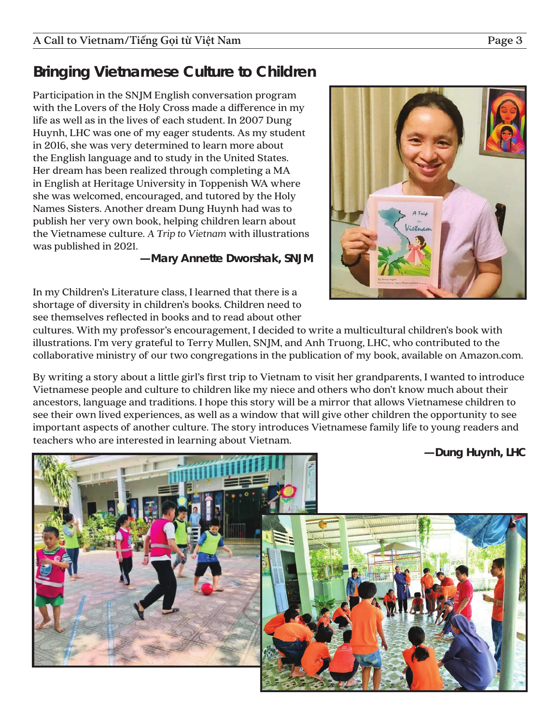## **Bringing Vietnamese Culture to Children**

Participation in the SNJM English conversation program with the Lovers of the Holy Cross made a difference in my life as well as in the lives of each student. In 2007 Dung Huynh, LHC was one of my eager students. As my student in 2016, she was very determined to learn more about the English language and to study in the United States. Her dream has been realized through completing a MA in English at Heritage University in Toppenish WA where she was welcomed, encouraged, and tutored by the Holy Names Sisters. Another dream Dung Huynh had was to publish her very own book, helping children learn about the Vietnamese culture. *A Trip to Vietnam* with illustrations was published in 2021.

**—Mary Annette Dworshak, SNJM**



In my Children's Literature class, I learned that there is a shortage of diversity in children's books. Children need to see themselves reflected in books and to read about other

cultures. With my professor's encouragement, I decided to write a multicultural children's book with illustrations. I'm very grateful to Terry Mullen, SNJM, and Anh Truong, LHC, who contributed to the collaborative ministry of our two congregations in the publication of my book, available on Amazon.com.

By writing a story about a little girl's first trip to Vietnam to visit her grandparents, I wanted to introduce Vietnamese people and culture to children like my niece and others who don't know much about their ancestors, language and traditions. I hope this story will be a mirror that allows Vietnamese children to see their own lived experiences, as well as a window that will give other children the opportunity to see important aspects of another culture. The story introduces Vietnamese family life to young readers and teachers who are interested in learning about Vietnam.

**—Dung Huynh, LHC**